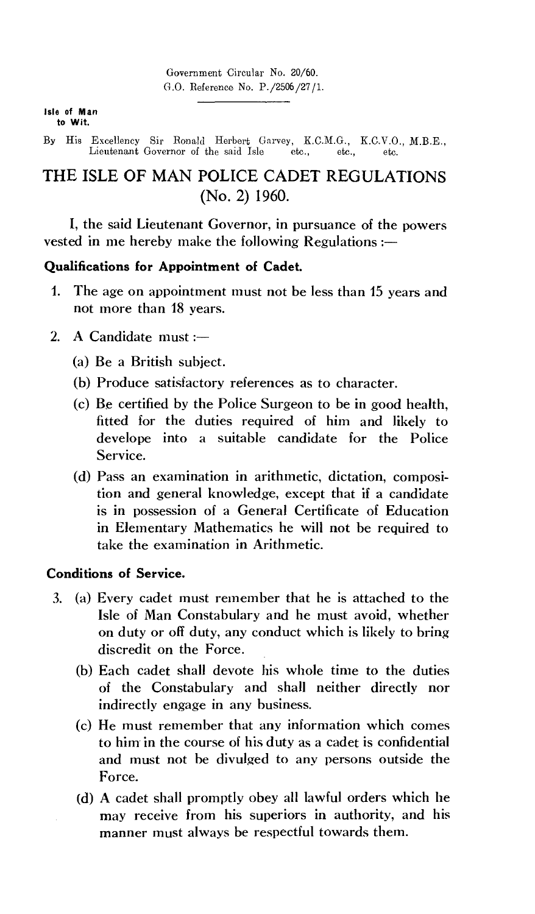Government Circular No. 20/60. 0.0. Reference No. P. /2506/27 / 1.

**Isle of Man to Wit.** 

By His Excellency Sir Ronald Herbert Garvey, K.C.M.G., K.C.V.O., M.B.E. , Lieutenant Governor of the said Isle etc., etc., etc.

# **THE ISLE OF MAN POLICE CADET REGULATIONS (No. 2) 1960.**

**I,** the said Lieutenant Governor, in pursuance of the powers vested in me hereby make the following Regulations :-

### Qualifications **for Appointment of Cadet.**

- 1. The age on appointment must not be less than 15 years and not more than 18 years.
- 2. A Candidate must :—
	- (a) Be a British subject.
	- (b) Produce satisfactory references as to character.
	- (c) Be certified by the Police Surgeon to be in good health, fitted for the duties required of him and likely to develope into a suitable candidate for the Police Service.
	- (d) Pass an examination in arithmetic, dictation, composition and general knowledge, except that if a candidate is in possession of a General Certificate of Education in Elementary Mathematics he will not be required to take the examination in Arithmetic.

### **Conditions of Service.**

- 3. (a) Every cadet must remember that he is attached to the Isle of Man Constabulary and he must avoid, whether on duty or off duty, any conduct which is likely to bring discredit on the Force.
	- (b) Each cadet shall devote his whole time to the duties of the Constabulary and shall neither directly nor indirectly engage in any business.
	- (c) He must remember that any information which comes to him in the course of his duty as a cadet is confidential and must not be divulged to any persons outside the Force.
	- (d) A cadet shall promptly obey all lawful orders which he may receive from his superiors in authority, and his manner must always be respectful towards them.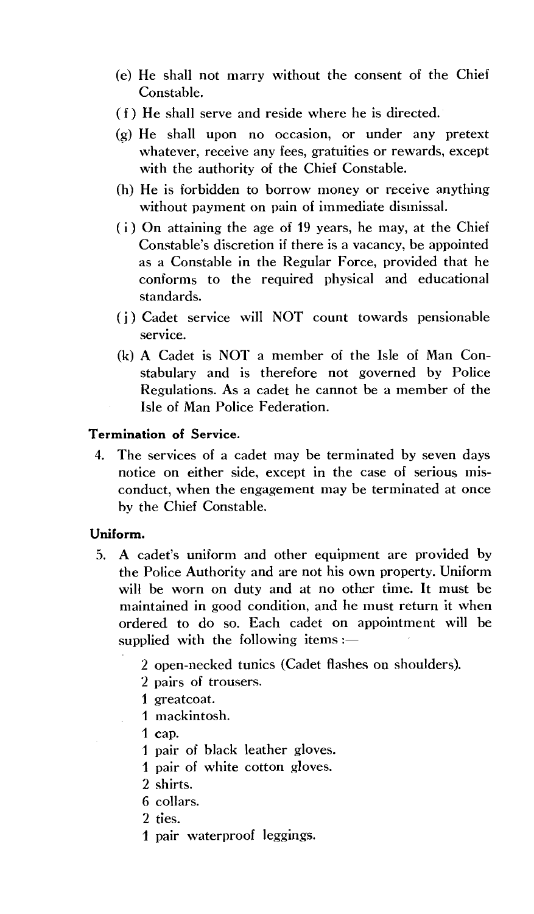- (e) He shall not marry without the consent of the Chief Constable.
- ( f ) He shall serve and reside where he is directed.
- (g) He shall upon no occasion, or under any pretext whatever, receive any fees, gratuities or rewards, except with the authority of the Chief Constable.
- (h) He is forbidden to borrow money or receive anything without payment on pain of immediate dismissal.
- ( i ) On attaining the age of 19 years, he may, at the Chief Constable's discretion if there is a vacancy, be appointed as a Constable in the Regular Force, provided that he conforms to the required physical and educational standards.
- (i) Cadet service will NOT count towards pensionable service.
- (k) A Cadet is NOT a member of the Isle of Man Constabulary and is therefore not governed by Police Regulations. As a cadet he cannot be a member of the Isle of Man Police Federation.

### **Termination of Service.**

4. The services of a cadet may be terminated by seven days notice on either side, except in the case of serious misconduct, when the engagement may be terminated at once by the Chief Constable.

#### **Uniform.**

- 5. A cadet's uniform and other equipment are provided by the Police Authority and are not his own property. Uniform will be worn on duty and at no other time. It must be maintained in good condition, and he must return it when ordered to do so. Each cadet on appointment will be supplied with the following items  $:=$ 
	- 2 open-necked tunics (Cadet flashes on shoulders).
	- 2 pairs of trousers.
	- 1 greatcoat.
	- **1** mackintosh.
	- 1 cap.
	- 1 pair of black leather gloves.
	- 1 pair of white cotton gloves.
	- 2 shirts.
	- 6 collars.
	- 2 ties.
	- 1 pair waterproof leggings.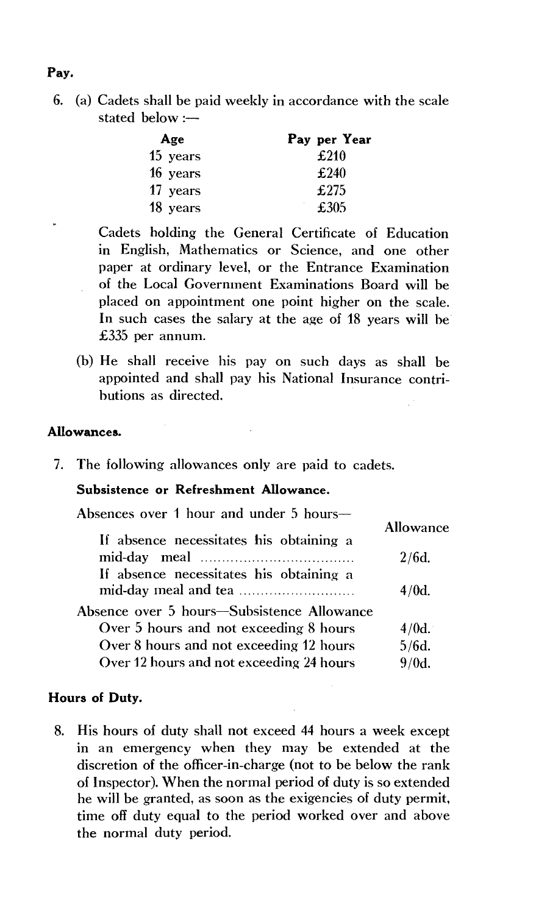6. (a) Cadets shall be paid weekly in accordance with the scale stated below  $:=$ 

| Age      | Pay per Year |
|----------|--------------|
| 15 years | £210         |
| 16 years | £240         |
| 17 years | £275         |
| 18 years | £305         |

Cadets holding the General Certificate of Education in English, Mathematics or Science, and one other paper at ordinary level, or the Entrance Examination of the Local Government Examinations Board will be placed on appointment one point higher on the scale. In such cases the salary at the age of 18 years will be £335 per annum.

(b) He shall receive his pay on such days as shall be appointed and shall pay his National Insurance contributions as directed.

#### **Allowances.**

7. The following allowances only are paid to cadets.

### **Subsistence or Refreshment Allowance.**

| Absences over 1 hour and under 5 hours—<br>If absence necessitates his obtaining a | Allowance |
|------------------------------------------------------------------------------------|-----------|
|                                                                                    | $2/6d$ .  |
| If absence necessitates his obtaining a                                            | $4/0d$ .  |
| Absence over 5 hours—Subsistence Allowance                                         |           |
| Over 5 hours and not exceeding 8 hours                                             | $4/0d$ .  |
| Over 8 hours and not exceeding 12 hours                                            | $5/6d$ .  |
| Over 12 hours and not exceeding 24 hours                                           | $9/0d$ .  |

### **Hours of Duty.**

8. His hours of duty shall not exceed 44 hours a week except in an emergency when they may be extended at the discretion of the officer-in-charge (not to be below the rank of Inspector). When the normal period of duty is so extended he will be granted, as soon as the exigencies of duty permit, time off duty equal to the period worked over and above the normal duty period.

#### **Pay.**